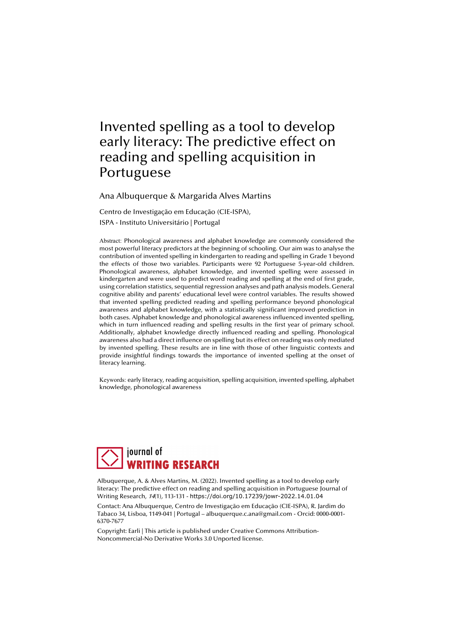# Invented spelling as a tool to develop early literacy: The predictive effect on reading and spelling acquisition in Portuguese

Ana Albuquerque & Margarida Alves Martins

Centro de Investigação em Educação (CIE-ISPA), ISPA - Instituto Universitário | Portugal

Abstract: Phonological awareness and alphabet knowledge are commonly considered the most powerful literacy predictors at the beginning of schooling. Our aim was to analyse the contribution of invented spelling in kindergarten to reading and spelling in Grade 1 beyond the effects of those two variables. Participants were 92 Portuguese 5-year-old children. Phonological awareness, alphabet knowledge, and invented spelling were assessed in kindergarten and were used to predict word reading and spelling at the end of first grade, using correlation statistics, sequential regression analyses and path analysis models. General cognitive ability and parents' educational level were control variables. The results showed that invented spelling predicted reading and spelling performance beyond phonological awareness and alphabet knowledge, with a statistically significant improved prediction in both cases. Alphabet knowledge and phonological awareness influenced invented spelling, which in turn influenced reading and spelling results in the first year of primary school. Additionally, alphabet knowledge directly influenced reading and spelling. Phonological awareness also had a direct influence on spelling but its effect on reading was only mediated by invented spelling. These results are in line with those of other linguistic contexts and provide insightful findings towards the importance of invented spelling at the onset of literacy learning.

Keywords: early literacy, reading acquisition, spelling acquisition, invented spelling, alphabet knowledge, phonological awareness



Albuquerque, A. & Alves Martins, M. (2022). Invented spelling as a tool to develop early literacy: The predictive effect on reading and spelling acquisition in Portuguese Journal of Writing Research, 14(1), 113-131 - https://doi.org/10.17239/jowr-2022.14.01.04

Contact: Ana Albuquerque, Centro de Investigação em Educação (CIE-ISPA), R. Jardim do Tabaco 34, Lisboa, 1149-041 | Portugal – albuquerque.c.ana@gmail.com - Orcid: 0000-0001- 6370-7677

Copyright: Earli | This article is published under Creative Commons Attribution-Noncommercial-No Derivative Works 3.0 Unported license.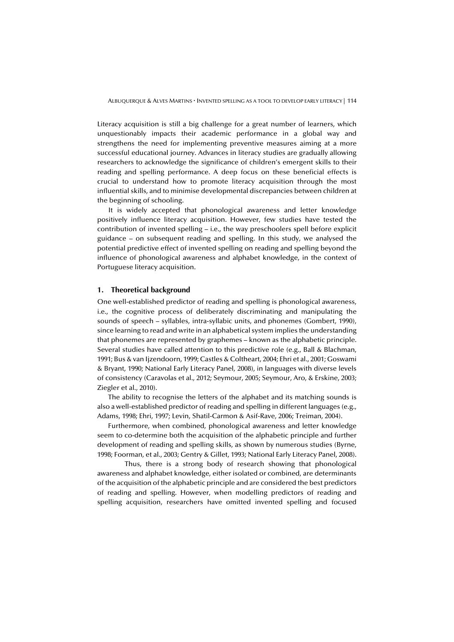Literacy acquisition is still a big challenge for a great number of learners, which unquestionably impacts their academic performance in a global way and strengthens the need for implementing preventive measures aiming at a more successful educational journey. Advances in literacy studies are gradually allowing researchers to acknowledge the significance of children's emergent skills to their reading and spelling performance. A deep focus on these beneficial effects is crucial to understand how to promote literacy acquisition through the most influential skills, and to minimise developmental discrepancies between children at the beginning of schooling.

It is widely accepted that phonological awareness and letter knowledge positively influence literacy acquisition. However, few studies have tested the contribution of invented spelling – i.e., the way preschoolers spell before explicit guidance – on subsequent reading and spelling. In this study, we analysed the potential predictive effect of invented spelling on reading and spelling beyond the influence of phonological awareness and alphabet knowledge, in the context of Portuguese literacy acquisition.

#### **1. Theoretical background**

One well-established predictor of reading and spelling is phonological awareness, i.e., the cognitive process of deliberately discriminating and manipulating the sounds of speech – syllables, intra-syllabic units, and phonemes (Gombert, 1990), since learning to read and write in an alphabetical system implies the understanding that phonemes are represented by graphemes – known as the alphabetic principle. Several studies have called attention to this predictive role (e.g., Ball & Blachman, 1991; Bus & van Ijzendoorn, 1999; Castles & Coltheart, 2004; Ehri et al., 2001; Goswami & Bryant, 1990; National Early Literacy Panel, 2008), in languages with diverse levels of consistency (Caravolas et al., 2012; Seymour, 2005; Seymour, Aro, & Erskine, 2003; Ziegler et al., 2010).

The ability to recognise the letters of the alphabet and its matching sounds is also a well-established predictor of reading and spelling in different languages (e.g., Adams, 1998; Ehri, 1997; Levin, Shatil-Carmon & Asif-Rave, 2006; Treiman, 2004).

Furthermore, when combined, phonological awareness and letter knowledge seem to co-determine both the acquisition of the alphabetic principle and further development of reading and spelling skills, as shown by numerous studies (Byrne, 1998; Foorman, et al., 2003; Gentry & Gillet, 1993; National Early Literacy Panel, 2008).

 Thus, there is a strong body of research showing that phonological awareness and alphabet knowledge, either isolated or combined, are determinants of the acquisition of the alphabetic principle and are considered the best predictors of reading and spelling. However, when modelling predictors of reading and spelling acquisition, researchers have omitted invented spelling and focused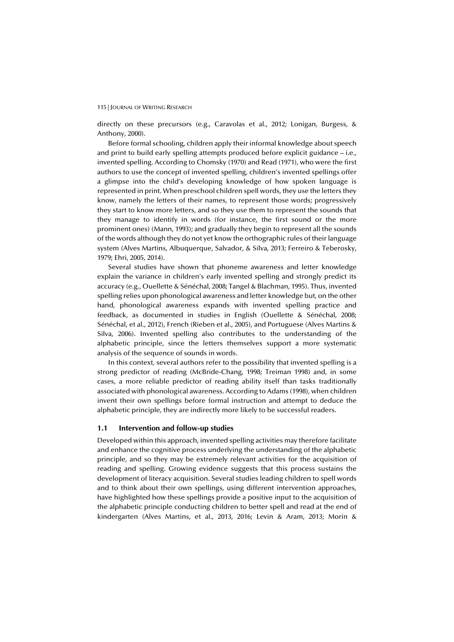directly on these precursors (e.g., Caravolas et al., 2012; Lonigan, Burgess, & Anthony, 2000).

Before formal schooling, children apply their informal knowledge about speech and print to build early spelling attempts produced before explicit guidance – i.e., invented spelling. According to Chomsky (1970) and Read (1971), who were the first authors to use the concept of invented spelling, children's invented spellings offer a glimpse into the child's developing knowledge of how spoken language is represented in print. When preschool children spell words, they use the letters they know, namely the letters of their names, to represent those words; progressively they start to know more letters, and so they use them to represent the sounds that they manage to identify in words (for instance, the first sound or the more prominent ones) (Mann, 1993); and gradually they begin to represent all the sounds of the words although they do not yet know the orthographic rules of their language system (Alves Martins, Albuquerque, Salvador, & Silva, 2013; Ferreiro & Teberosky, 1979; Ehri, 2005, 2014).

Several studies have shown that phoneme awareness and letter knowledge explain the variance in children's early invented spelling and strongly predict its accuracy (e.g., Ouellette & Sénéchal, 2008; Tangel & Blachman, 1995). Thus, invented spelling relies upon phonological awareness and letter knowledge but, on the other hand, phonological awareness expands with invented spelling practice and feedback, as documented in studies in English (Ouellette & Sénéchal, 2008; Sénéchal, et al., 2012), French (Rieben et al., 2005), and Portuguese (Alves Martins & Silva, 2006). Invented spelling also contributes to the understanding of the alphabetic principle, since the letters themselves support a more systematic analysis of the sequence of sounds in words.

In this context, several authors refer to the possibility that invented spelling is a strong predictor of reading (McBride-Chang, 1998; Treiman 1998) and, in some cases, a more reliable predictor of reading ability itself than tasks traditionally associated with phonological awareness. According to Adams (1998), when children invent their own spellings before formal instruction and attempt to deduce the alphabetic principle, they are indirectly more likely to be successful readers.

## **1.1 Intervention and follow-up studies**

Developed within this approach, invented spelling activities may therefore facilitate and enhance the cognitive process underlying the understanding of the alphabetic principle, and so they may be extremely relevant activities for the acquisition of reading and spelling. Growing evidence suggests that this process sustains the development of literacy acquisition. Several studies leading children to spell words and to think about their own spellings, using different intervention approaches, have highlighted how these spellings provide a positive input to the acquisition of the alphabetic principle conducting children to better spell and read at the end of kindergarten (Alves Martins, et al., 2013, 2016; Levin & Aram, 2013; Morin &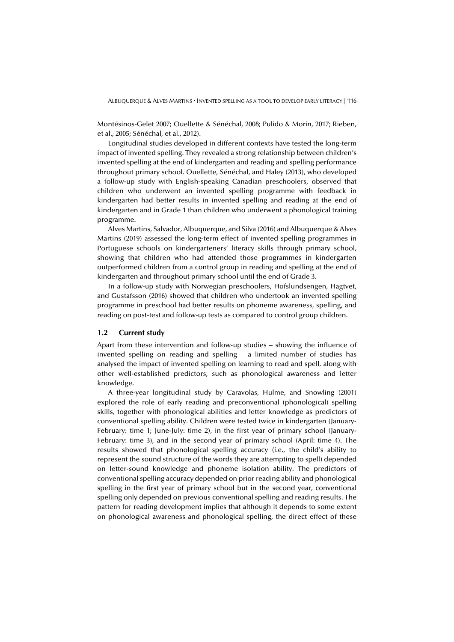Montésinos-Gelet 2007; Ouellette & Sénéchal, 2008; Pulido & Morin, 2017; Rieben, et al., 2005; Sénéchal, et al., 2012).

Longitudinal studies developed in different contexts have tested the long-term impact of invented spelling. They revealed a strong relationship between children's invented spelling at the end of kindergarten and reading and spelling performance throughout primary school. Ouellette, Sénéchal, and Haley (2013), who developed a follow-up study with English-speaking Canadian preschoolers, observed that children who underwent an invented spelling programme with feedback in kindergarten had better results in invented spelling and reading at the end of kindergarten and in Grade 1 than children who underwent a phonological training programme.

Alves Martins, Salvador, Albuquerque, and Silva (2016) and Albuquerque & Alves Martins (2019) assessed the long-term effect of invented spelling programmes in Portuguese schools on kindergarteners' literacy skills through primary school, showing that children who had attended those programmes in kindergarten outperformed children from a control group in reading and spelling at the end of kindergarten and throughout primary school until the end of Grade 3.

In a follow-up study with Norwegian preschoolers, Hofslundsengen, Hagtvet, and Gustafsson (2016) showed that children who undertook an invented spelling programme in preschool had better results on phoneme awareness, spelling, and reading on post-test and follow-up tests as compared to control group children.

#### **1.2 Current study**

Apart from these intervention and follow-up studies – showing the influence of invented spelling on reading and spelling – a limited number of studies has analysed the impact of invented spelling on learning to read and spell, along with other well-established predictors, such as phonological awareness and letter knowledge.

A three-year longitudinal study by Caravolas, Hulme, and Snowling (2001) explored the role of early reading and preconventional (phonological) spelling skills, together with phonological abilities and letter knowledge as predictors of conventional spelling ability. Children were tested twice in kindergarten (January-February: time 1; June-July: time 2), in the first year of primary school (January-February: time 3), and in the second year of primary school (April: time 4). The results showed that phonological spelling accuracy (i.e., the child's ability to represent the sound structure of the words they are attempting to spell) depended on letter-sound knowledge and phoneme isolation ability. The predictors of conventional spelling accuracy depended on prior reading ability and phonological spelling in the first year of primary school but in the second year, conventional spelling only depended on previous conventional spelling and reading results. The pattern for reading development implies that although it depends to some extent on phonological awareness and phonological spelling, the direct effect of these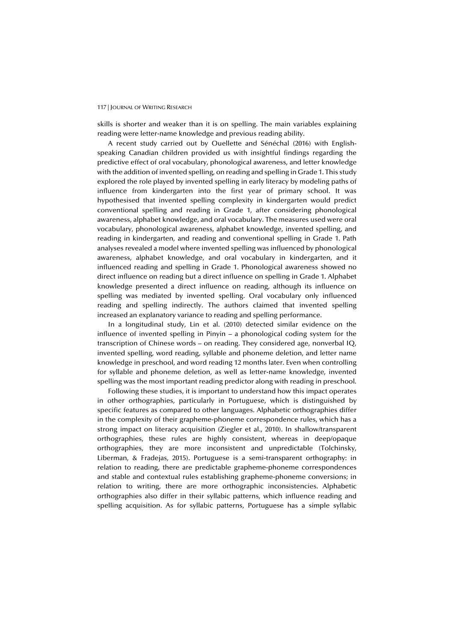skills is shorter and weaker than it is on spelling. The main variables explaining reading were letter-name knowledge and previous reading ability.

A recent study carried out by Ouellette and Sénéchal (2016) with Englishspeaking Canadian children provided us with insightful findings regarding the predictive effect of oral vocabulary, phonological awareness, and letter knowledge with the addition of invented spelling, on reading and spelling in Grade 1. This study explored the role played by invented spelling in early literacy by modeling paths of influence from kindergarten into the first year of primary school. It was hypothesised that invented spelling complexity in kindergarten would predict conventional spelling and reading in Grade 1, after considering phonological awareness, alphabet knowledge, and oral vocabulary. The measures used were oral vocabulary, phonological awareness, alphabet knowledge, invented spelling, and reading in kindergarten, and reading and conventional spelling in Grade 1. Path analyses revealed a model where invented spelling was influenced by phonological awareness, alphabet knowledge, and oral vocabulary in kindergarten, and it influenced reading and spelling in Grade 1. Phonological awareness showed no direct influence on reading but a direct influence on spelling in Grade 1. Alphabet knowledge presented a direct influence on reading, although its influence on spelling was mediated by invented spelling. Oral vocabulary only influenced reading and spelling indirectly. The authors claimed that invented spelling increased an explanatory variance to reading and spelling performance.

In a longitudinal study, Lin et al. (2010) detected similar evidence on the influence of invented spelling in Pinyin – a phonological coding system for the transcription of Chinese words – on reading. They considered age, nonverbal IQ, invented spelling, word reading, syllable and phoneme deletion, and letter name knowledge in preschool, and word reading 12 months later. Even when controlling for syllable and phoneme deletion, as well as letter-name knowledge, invented spelling was the most important reading predictor along with reading in preschool.

Following these studies, it is important to understand how this impact operates in other orthographies, particularly in Portuguese, which is distinguished by specific features as compared to other languages. Alphabetic orthographies differ in the complexity of their grapheme-phoneme correspondence rules, which has a strong impact on literacy acquisition (Ziegler et al., 2010). In shallow/transparent orthographies, these rules are highly consistent, whereas in deep/opaque orthographies, they are more inconsistent and unpredictable (Tolchinsky, Liberman, & Fradejas, 2015). Portuguese is a semi-transparent orthography: in relation to reading, there are predictable grapheme-phoneme correspondences and stable and contextual rules establishing grapheme-phoneme conversions; in relation to writing, there are more orthographic inconsistencies. Alphabetic orthographies also differ in their syllabic patterns, which influence reading and spelling acquisition. As for syllabic patterns, Portuguese has a simple syllabic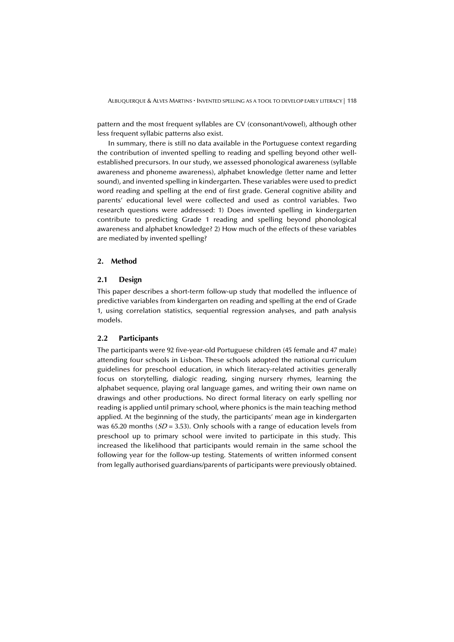pattern and the most frequent syllables are CV (consonant/vowel), although other less frequent syllabic patterns also exist.

In summary, there is still no data available in the Portuguese context regarding the contribution of invented spelling to reading and spelling beyond other wellestablished precursors. In our study, we assessed phonological awareness (syllable awareness and phoneme awareness), alphabet knowledge (letter name and letter sound), and invented spelling in kindergarten. These variables were used to predict word reading and spelling at the end of first grade. General cognitive ability and parents' educational level were collected and used as control variables. Two research questions were addressed: 1) Does invented spelling in kindergarten contribute to predicting Grade 1 reading and spelling beyond phonological awareness and alphabet knowledge? 2) How much of the effects of these variables are mediated by invented spelling?

#### **2. Method**

### **2.1 Design**

This paper describes a short-term follow-up study that modelled the influence of predictive variables from kindergarten on reading and spelling at the end of Grade 1, using correlation statistics, sequential regression analyses, and path analysis models.

## **2.2 Participants**

The participants were 92 five-year-old Portuguese children (45 female and 47 male) attending four schools in Lisbon. These schools adopted the national curriculum guidelines for preschool education, in which literacy-related activities generally focus on storytelling, dialogic reading, singing nursery rhymes, learning the alphabet sequence, playing oral language games, and writing their own name on drawings and other productions. No direct formal literacy on early spelling nor reading is applied until primary school, where phonics is the main teaching method applied. At the beginning of the study, the participants' mean age in kindergarten was 65.20 months ( $SD = 3.53$ ). Only schools with a range of education levels from preschool up to primary school were invited to participate in this study. This increased the likelihood that participants would remain in the same school the following year for the follow-up testing. Statements of written informed consent from legally authorised guardians/parents of participants were previously obtained.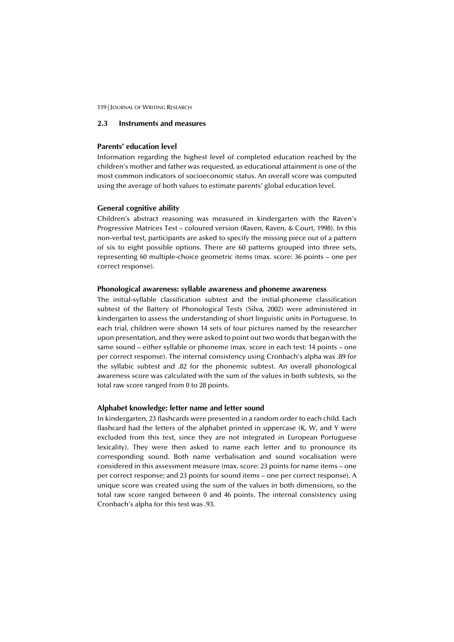## **2.3 Instruments and measures**

# **Parents' education level**

Information regarding the highest level of completed education reached by the children's mother and father was requested, as educational attainment is one of the most common indicators of socioeconomic status. An overall score was computed using the average of both values to estimate parents' global education level.

#### **General cognitive ability**

Children's abstract reasoning was measured in kindergarten with the Raven's Progressive Matrices Test – coloured version (Raven, Raven, & Court, 1998). In this non-verbal test, participants are asked to specify the missing piece out of a pattern of six to eight possible options. There are 60 patterns grouped into three sets, representing 60 multiple-choice geometric items (max. score: 36 points – one per correct response).

# **Phonological awareness: syllable awareness and phoneme awareness**

The initial-syllable classification subtest and the initial-phoneme classification subtest of the Battery of Phonological Tests (Silva, 2002) were administered in kindergarten to assess the understanding of short linguistic units in Portuguese. In each trial, children were shown 14 sets of four pictures named by the researcher upon presentation, and they were asked to point out two words that began with the same sound – either syllable or phoneme (max. score in each test: 14 points – one per correct response). The internal consistency using Cronbach's alpha was .89 for the syllabic subtest and .82 for the phonemic subtest. An overall phonological awareness score was calculated with the sum of the values in both subtests, so the total raw score ranged from 0 to 28 points.

#### **Alphabet knowledge: letter name and letter sound**

In kindergarten, 23 flashcards were presented in a random order to each child. Each flashcard had the letters of the alphabet printed in uppercase (K, W, and Y were excluded from this test, since they are not integrated in European Portuguese lexicality). They were then asked to name each letter and to pronounce its corresponding sound. Both name verbalisation and sound vocalisation were considered in this assessment measure (max. score: 23 points for name items – one per correct response; and 23 points for sound items – one per correct response). A unique score was created using the sum of the values in both dimensions, so the total raw score ranged between 0 and 46 points. The internal consistency using Cronbach's alpha for this test was .93.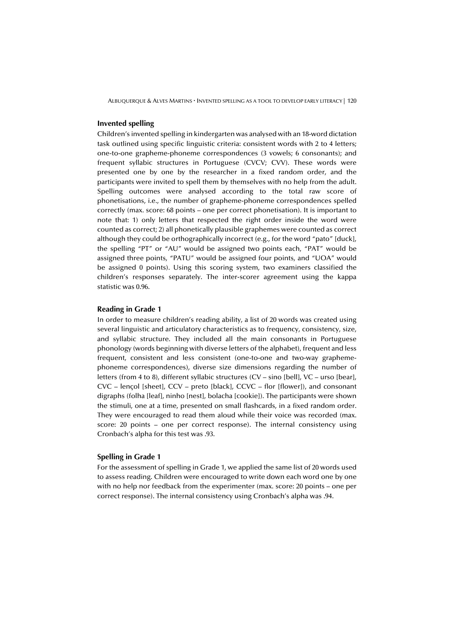#### **Invented spelling**

Children's invented spelling in kindergarten was analysed with an 18-word dictation task outlined using specific linguistic criteria: consistent words with 2 to 4 letters; one-to-one grapheme-phoneme correspondences (3 vowels; 6 consonants); and frequent syllabic structures in Portuguese (CVCV; CVV). These words were presented one by one by the researcher in a fixed random order, and the participants were invited to spell them by themselves with no help from the adult. Spelling outcomes were analysed according to the total raw score of phonetisations, i.e., the number of grapheme-phoneme correspondences spelled correctly (max. score: 68 points – one per correct phonetisation). It is important to note that: 1) only letters that respected the right order inside the word were counted as correct; 2) all phonetically plausible graphemes were counted as correct although they could be orthographically incorrect (e.g., for the word "pato" [duck], the spelling "PT" or "AU" would be assigned two points each, "PAT" would be assigned three points, "PATU" would be assigned four points, and "UOA" would be assigned 0 points). Using this scoring system, two examiners classified the children's responses separately. The inter-scorer agreement using the kappa statistic was 0.96.

#### **Reading in Grade 1**

In order to measure children's reading ability, a list of 20 words was created using several linguistic and articulatory characteristics as to frequency, consistency, size, and syllabic structure. They included all the main consonants in Portuguese phonology (words beginning with diverse letters of the alphabet), frequent and less frequent, consistent and less consistent (one-to-one and two-way graphemephoneme correspondences), diverse size dimensions regarding the number of letters (from 4 to 8), different syllabic structures (CV – sino [bell], VC – urso [bear], CVC – lençol [sheet], CCV – preto [black], CCVC – flor [flower]), and consonant digraphs (folha [leaf], ninho [nest], bolacha [cookie]). The participants were shown the stimuli, one at a time, presented on small flashcards, in a fixed random order. They were encouraged to read them aloud while their voice was recorded (max. score: 20 points – one per correct response). The internal consistency using Cronbach's alpha for this test was .93.

#### **Spelling in Grade 1**

For the assessment of spelling in Grade 1, we applied the same list of 20 words used to assess reading. Children were encouraged to write down each word one by one with no help nor feedback from the experimenter (max. score: 20 points – one per correct response). The internal consistency using Cronbach's alpha was .94.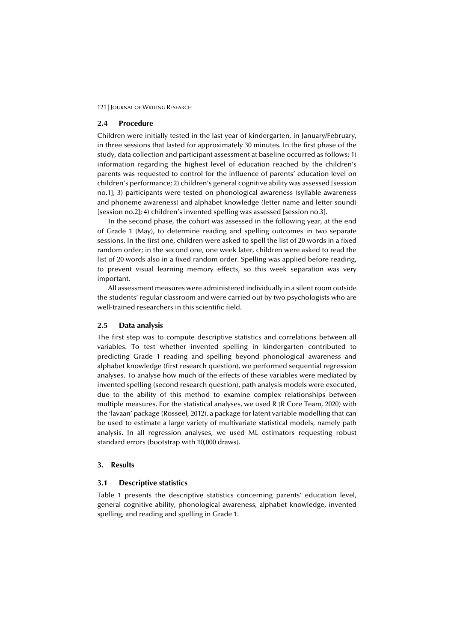#### **2.4 Procedure**

Children were initially tested in the last year of kindergarten, in January/February, in three sessions that lasted for approximately 30 minutes. In the first phase of the study, data collection and participant assessment at baseline occurred as follows: 1) information regarding the highest level of education reached by the children's parents was requested to control for the influence of parents' education level on children's performance; 2) children's general cognitive ability was assessed [session no.1]; 3) participants were tested on phonological awareness (syllable awareness and phoneme awareness) and alphabet knowledge (letter name and letter sound) [session no.2]; 4) children's invented spelling was assessed [session no.3].

In the second phase, the cohort was assessed in the following year, at the end of Grade 1 (May), to determine reading and spelling outcomes in two separate sessions. In the first one, children were asked to spell the list of 20 words in a fixed random order; in the second one, one week later, children were asked to read the list of 20 words also in a fixed random order. Spelling was applied before reading, to prevent visual learning memory effects, so this week separation was very important.

All assessment measures were administered individually in a silent room outside the students' regular classroom and were carried out by two psychologists who are well-trained researchers in this scientific field.

#### **2.5 Data analysis**

The first step was to compute descriptive statistics and correlations between all variables. To test whether invented spelling in kindergarten contributed to predicting Grade 1 reading and spelling beyond phonological awareness and alphabet knowledge (first research question), we performed sequential regression analyses. To analyse how much of the effects of these variables were mediated by invented spelling (second research question), path analysis models were executed, due to the ability of this method to examine complex relationships between multiple measures. For the statistical analyses, we used R (R Core Team, 2020) with the 'lavaan' package (Rosseel, 2012), a package for latent variable modelling that can be used to estimate a large variety of multivariate statistical models, namely path analysis. In all regression analyses, we used ML estimators requesting robust standard errors (bootstrap with 10,000 draws).

# **3. Results**

#### **3.1 Descriptive statistics**

Table 1 presents the descriptive statistics concerning parents' education level, general cognitive ability, phonological awareness, alphabet knowledge, invented spelling, and reading and spelling in Grade 1.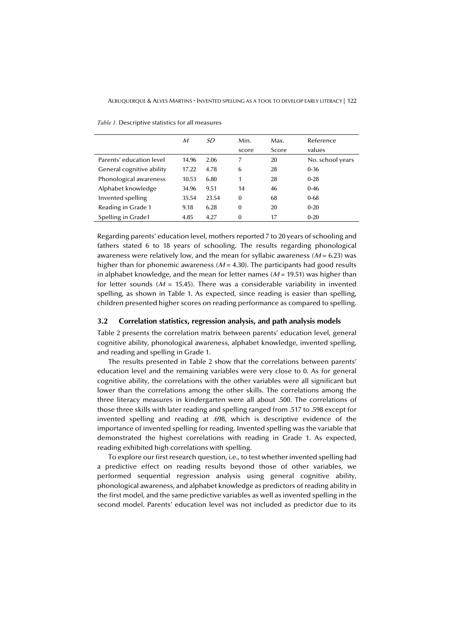|                           | $\mathcal M$ | .SD   | Min.         | Max.  | Reference        |
|---------------------------|--------------|-------|--------------|-------|------------------|
|                           |              |       | score        | Score | values           |
| Parents' education level  | 14.96        | 2.06  | 7            | 20    | No. school years |
| General cognitive ability | 17.22        | 4.78  | 6            | 28    | $0 - 36$         |
| Phonological awareness    | 10.53        | 6.80  | 1            | 28    | $0 - 28$         |
| Alphabet knowledge        | 34.96        | 9.51  | 14           | 46    | $0 - 46$         |
| Invented spelling         | 35.54        | 23.54 | $\Omega$     | 68    | $0 - 68$         |
| Reading in Grade 1        | 9.18         | 6.28  | $\mathbf{0}$ | 20    | $0 - 20$         |
| Spelling in Grade1        | 4.85         | 4.27  | $\Omega$     | 17    | $0 - 20$         |

*Table 1.* Descriptive statistics for all measures

Regarding parents' education level, mothers reported 7 to 20 years of schooling and fathers stated 6 to 18 years of schooling. The results regarding phonological awareness were relatively low, and the mean for syllabic awareness ( $M = 6.23$ ) was higher than for phonemic awareness ( $M = 4.30$ ). The participants had good results in alphabet knowledge, and the mean for letter names ( $M = 19.51$ ) was higher than for letter sounds ( $M = 15.45$ ). There was a considerable variability in invented spelling, as shown in Table 1. As expected, since reading is easier than spelling, children presented higher scores on reading performance as compared to spelling.

#### **3.2 Correlation statistics, regression analysis, and path analysis models**

Table 2 presents the correlation matrix between parents' education level, general cognitive ability, phonological awareness, alphabet knowledge, invented spelling, and reading and spelling in Grade 1.

The results presented in Table 2 show that the correlations between parents' education level and the remaining variables were very close to 0. As for general cognitive ability, the correlations with the other variables were all significant but lower than the correlations among the other skills. The correlations among the three literacy measures in kindergarten were all about .500. The correlations of those three skills with later reading and spelling ranged from .517 to .598 except for invented spelling and reading at .698, which is descriptive evidence of the importance of invented spelling for reading. Invented spelling was the variable that demonstrated the highest correlations with reading in Grade 1. As expected, reading exhibited high correlations with spelling.

To explore our first research question, i.e., to test whether invented spelling had a predictive effect on reading results beyond those of other variables, we performed sequential regression analysis using general cognitive ability, phonological awareness, and alphabet knowledge as predictors of reading ability in the first model, and the same predictive variables as well as invented spelling in the second model. Parents' education level was not included as predictor due to its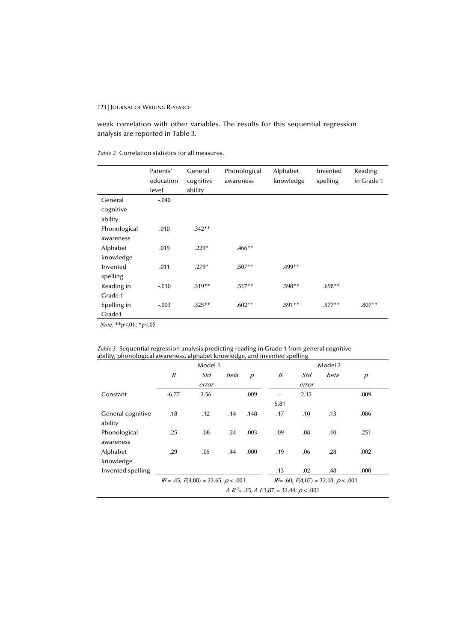weak correlation with other variables. The results for this sequential regression analysis are reported in Table 3.

# *Table 2.* Correlation statistics for all measures.

|                                 | Parents'  | General   | Phonological | Alphabet  | Invented | Reading    |
|---------------------------------|-----------|-----------|--------------|-----------|----------|------------|
|                                 | education | cognitive | awareness    | knowledge | spelling | in Grade 1 |
|                                 | level     | ability   |              |           |          |            |
| General<br>cognitive<br>ability | $-.040$   |           |              |           |          |            |
|                                 | .010      | $.342**$  |              |           |          |            |
| Phonological<br>awareness       |           |           |              |           |          |            |
| Alphabet                        | .019      | $.229*$   | $.466**$     |           |          |            |
| knowledge                       |           |           |              |           |          |            |
| Invented                        | .011      | $.279*$   | $.507**$     | .499**    |          |            |
| spelling                        |           |           |              |           |          |            |
| Reading in                      | $-0.010$  | $.319**$  | $.517**$     | .598**    | $.698**$ |            |
| Grade 1                         |           |           |              |           |          |            |
| Spelling in                     | $-.003$   | $.325***$ | $.602**$     | $.591**$  | $.577**$ | $.807**$   |
| Grade1                          |           |           |              |           |          |            |

 *Note.* \*\*p<.01; \*p<.05

|  | <i>Table 3.</i> Sequential regression analysis predicting reading in Grade 1 from general cognitive |  |  |  |  |
|--|-----------------------------------------------------------------------------------------------------|--|--|--|--|
|  | ability, phonological awareness, alphabet knowledge, and invented spelling                          |  |  |  |  |

|                              |                                                          | Model 1 |      |                |                |                                            | Model 2 |                |  |
|------------------------------|----------------------------------------------------------|---------|------|----------------|----------------|--------------------------------------------|---------|----------------|--|
|                              | Β                                                        | Std     | beta | $\overline{p}$ | B              | Std                                        | beta    | $\overline{p}$ |  |
|                              |                                                          | error   |      |                |                | error                                      |         |                |  |
| Constant                     | $-6.77$                                                  | 2.56    |      | .009           | $\blacksquare$ | 2.15                                       |         | .009           |  |
|                              |                                                          |         |      |                | 5.81           |                                            |         |                |  |
| General cognitive<br>ability | .18                                                      | .12     | .14  | .148           | .17            | .10                                        | .13     | .086           |  |
| Phonological<br>awareness    | .25                                                      | .08     | .24  | .003           | .09            | .08                                        | .10     | .251           |  |
| Alphabet<br>knowledge        | .29                                                      | .05     | .44  | .000           | .19            | .06                                        | .28     | .002           |  |
| Invented spelling            |                                                          |         |      |                | .13            | .02                                        | .48     | .000           |  |
|                              | $R^2 = .45, F(3,88) = 23.65, p < .001$                   |         |      |                |                | $R^2$ = .60, $F(4,87)$ = 32.18, $p < .001$ |         |                |  |
|                              | $\Delta R^2$ = .15, $\Delta F(1,87)$ = 32.44, $p < .001$ |         |      |                |                |                                            |         |                |  |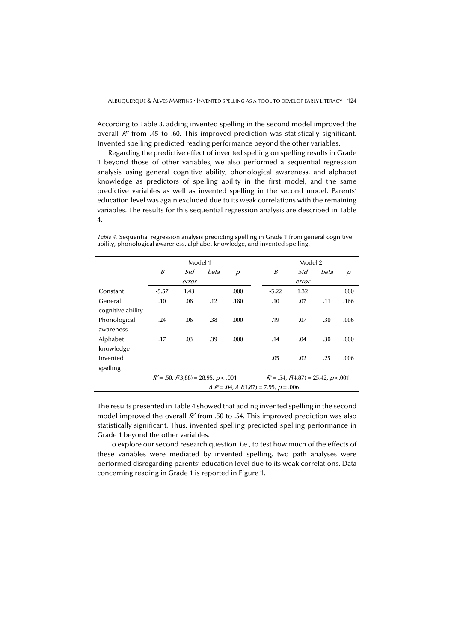According to Table 3, adding invented spelling in the second model improved the overall  $R<sup>2</sup>$  from .45 to .60. This improved prediction was statistically significant. Invented spelling predicted reading performance beyond the other variables.

Regarding the predictive effect of invented spelling on spelling results in Grade 1 beyond those of other variables, we also performed a sequential regression analysis using general cognitive ability, phonological awareness, and alphabet knowledge as predictors of spelling ability in the first model, and the same predictive variables as well as invented spelling in the second model. Parents' education level was again excluded due to its weak correlations with the remaining variables. The results for this sequential regression analysis are described in Table 4.

Model 1 Model 2 B Std error beta p B Std error beta p Constant -5.57 1.43 .000 -5.22 1.32 .000 General cognitive ability .10 .08 .12 .180 .10 .07 .11 .166 Phonological awareness .24 .06 .38 .000 .19 .07 .30 .006 Alphabet knowledge .17 .03 .39 .000 .14 .04 .30 .000 Invented spelling .05 .02 .25 .006  $R^2 = .50, F(3,88) = 28.95, p < .001$   $R^2 = .54, F(4,87) = 25.42, p < .001$  $\Delta R^2 = .04$ ,  $\Delta F(1,87) = 7.95$ ,  $p = .006$ 

*Table 4.* Sequential regression analysis predicting spelling in Grade 1 from general cognitive ability, phonological awareness, alphabet knowledge, and invented spelling.

The results presented in Table 4 showed that adding invented spelling in the second model improved the overall  $R^2$  from .50 to .54. This improved prediction was also statistically significant. Thus, invented spelling predicted spelling performance in Grade 1 beyond the other variables.

To explore our second research question, i.e., to test how much of the effects of these variables were mediated by invented spelling, two path analyses were performed disregarding parents' education level due to its weak correlations. Data concerning reading in Grade 1 is reported in Figure 1.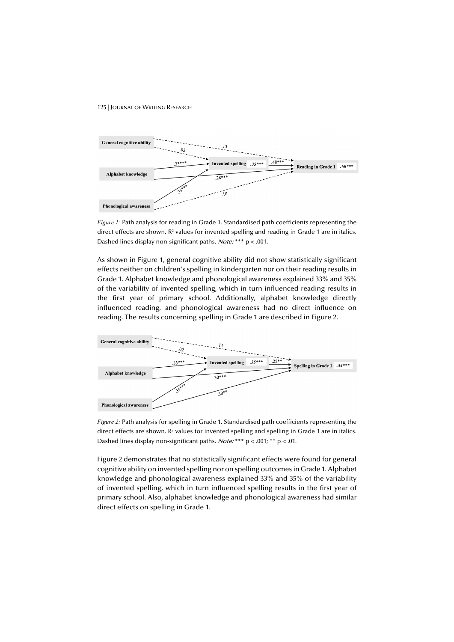

*Figure 1:* Path analysis for reading in Grade 1. Standardised path coefficients representing the direct effects are shown. R<sup>2</sup> values for invented spelling and reading in Grade 1 are in italics. Dashed lines display non-significant paths. Note: \*\*\* p < .001.

As shown in Figure 1, general cognitive ability did not show statistically significant effects neither on children's spelling in kindergarten nor on their reading results in Grade 1. Alphabet knowledge and phonological awareness explained 33% and 35% of the variability of invented spelling, which in turn influenced reading results in the first year of primary school. Additionally, alphabet knowledge directly influenced reading, and phonological awareness had no direct influence on reading. The results concerning spelling in Grade 1 are described in Figure 2.



*Figure 2:* Path analysis for spelling in Grade 1. Standardised path coefficients representing the direct effects are shown.  $R^2$  values for invented spelling and spelling in Grade 1 are in italics. Dashed lines display non-significant paths. Note: \*\*\*  $p < .001$ ; \*\*  $p < .01$ .

Figure 2 demonstrates that no statistically significant effects were found for general cognitive ability on invented spelling nor on spelling outcomes in Grade 1. Alphabet knowledge and phonological awareness explained 33% and 35% of the variability of invented spelling, which in turn influenced spelling results in the first year of primary school. Also, alphabet knowledge and phonological awareness had similar direct effects on spelling in Grade 1.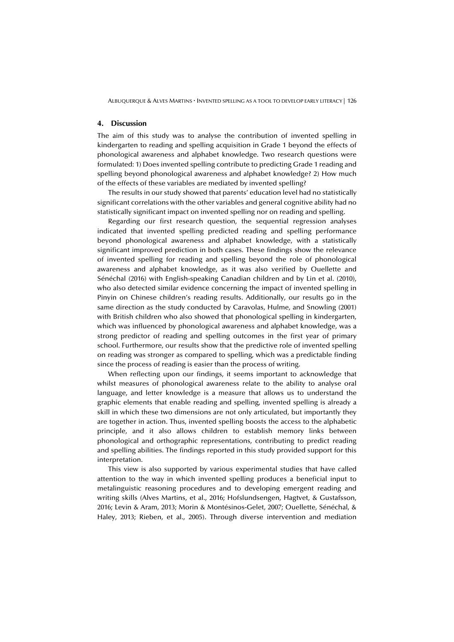#### **4. Discussion**

The aim of this study was to analyse the contribution of invented spelling in kindergarten to reading and spelling acquisition in Grade 1 beyond the effects of phonological awareness and alphabet knowledge. Two research questions were formulated: 1) Does invented spelling contribute to predicting Grade 1 reading and spelling beyond phonological awareness and alphabet knowledge? 2) How much of the effects of these variables are mediated by invented spelling?

The results in our study showed that parents' education level had no statistically significant correlations with the other variables and general cognitive ability had no statistically significant impact on invented spelling nor on reading and spelling.

Regarding our first research question, the sequential regression analyses indicated that invented spelling predicted reading and spelling performance beyond phonological awareness and alphabet knowledge, with a statistically significant improved prediction in both cases. These findings show the relevance of invented spelling for reading and spelling beyond the role of phonological awareness and alphabet knowledge, as it was also verified by Ouellette and Sénéchal (2016) with English-speaking Canadian children and by Lin et al. (2010), who also detected similar evidence concerning the impact of invented spelling in Pinyin on Chinese children's reading results. Additionally, our results go in the same direction as the study conducted by Caravolas, Hulme, and Snowling (2001) with British children who also showed that phonological spelling in kindergarten, which was influenced by phonological awareness and alphabet knowledge, was a strong predictor of reading and spelling outcomes in the first year of primary school. Furthermore, our results show that the predictive role of invented spelling on reading was stronger as compared to spelling, which was a predictable finding since the process of reading is easier than the process of writing.

When reflecting upon our findings, it seems important to acknowledge that whilst measures of phonological awareness relate to the ability to analyse oral language, and letter knowledge is a measure that allows us to understand the graphic elements that enable reading and spelling, invented spelling is already a skill in which these two dimensions are not only articulated, but importantly they are together in action. Thus, invented spelling boosts the access to the alphabetic principle, and it also allows children to establish memory links between phonological and orthographic representations, contributing to predict reading and spelling abilities. The findings reported in this study provided support for this interpretation.

This view is also supported by various experimental studies that have called attention to the way in which invented spelling produces a beneficial input to metalinguistic reasoning procedures and to developing emergent reading and writing skills (Alves Martins, et al., 2016; Hofslundsengen, Hagtvet, & Gustafsson, 2016; Levin & Aram, 2013; Morin & Montésinos-Gelet, 2007; Ouellette, Sénéchal, & Haley, 2013; Rieben, et al., 2005). Through diverse intervention and mediation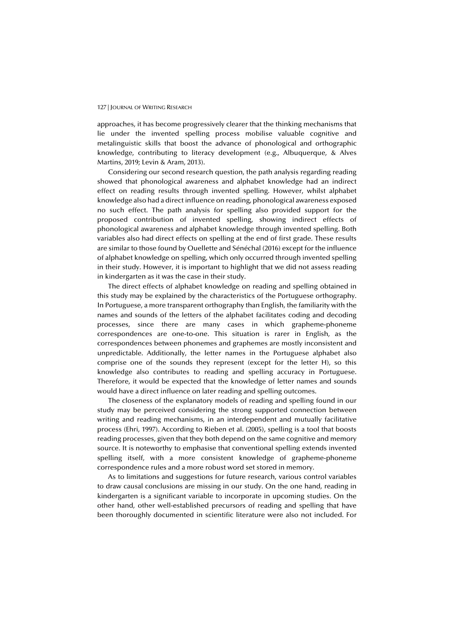approaches, it has become progressively clearer that the thinking mechanisms that lie under the invented spelling process mobilise valuable cognitive and metalinguistic skills that boost the advance of phonological and orthographic knowledge, contributing to literacy development (e.g., Albuquerque, & Alves Martins, 2019; Levin & Aram, 2013).

Considering our second research question, the path analysis regarding reading showed that phonological awareness and alphabet knowledge had an indirect effect on reading results through invented spelling. However, whilst alphabet knowledge also had a direct influence on reading, phonological awareness exposed no such effect. The path analysis for spelling also provided support for the proposed contribution of invented spelling, showing indirect effects of phonological awareness and alphabet knowledge through invented spelling. Both variables also had direct effects on spelling at the end of first grade. These results are similar to those found by Ouellette and Sénéchal (2016) except for the influence of alphabet knowledge on spelling, which only occurred through invented spelling in their study. However, it is important to highlight that we did not assess reading in kindergarten as it was the case in their study.

The direct effects of alphabet knowledge on reading and spelling obtained in this study may be explained by the characteristics of the Portuguese orthography. In Portuguese, a more transparent orthography than English, the familiarity with the names and sounds of the letters of the alphabet facilitates coding and decoding processes, since there are many cases in which grapheme-phoneme correspondences are one-to-one. This situation is rarer in English, as the correspondences between phonemes and graphemes are mostly inconsistent and unpredictable. Additionally, the letter names in the Portuguese alphabet also comprise one of the sounds they represent (except for the letter H), so this knowledge also contributes to reading and spelling accuracy in Portuguese. Therefore, it would be expected that the knowledge of letter names and sounds would have a direct influence on later reading and spelling outcomes.

The closeness of the explanatory models of reading and spelling found in our study may be perceived considering the strong supported connection between writing and reading mechanisms, in an interdependent and mutually facilitative process (Ehri, 1997). According to Rieben et al. (2005), spelling is a tool that boosts reading processes, given that they both depend on the same cognitive and memory source. It is noteworthy to emphasise that conventional spelling extends invented spelling itself, with a more consistent knowledge of grapheme-phoneme correspondence rules and a more robust word set stored in memory.

As to limitations and suggestions for future research, various control variables to draw causal conclusions are missing in our study. On the one hand, reading in kindergarten is a significant variable to incorporate in upcoming studies. On the other hand, other well-established precursors of reading and spelling that have been thoroughly documented in scientific literature were also not included. For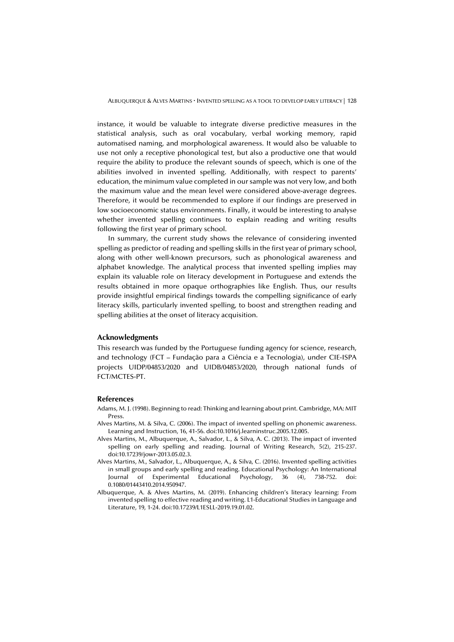instance, it would be valuable to integrate diverse predictive measures in the statistical analysis, such as oral vocabulary, verbal working memory, rapid automatised naming, and morphological awareness. It would also be valuable to use not only a receptive phonological test, but also a productive one that would require the ability to produce the relevant sounds of speech, which is one of the abilities involved in invented spelling. Additionally, with respect to parents' education, the minimum value completed in our sample was not very low, and both the maximum value and the mean level were considered above-average degrees. Therefore, it would be recommended to explore if our findings are preserved in low socioeconomic status environments. Finally, it would be interesting to analyse whether invented spelling continues to explain reading and writing results following the first year of primary school.

In summary, the current study shows the relevance of considering invented spelling as predictor of reading and spelling skills in the first year of primary school, along with other well-known precursors, such as phonological awareness and alphabet knowledge. The analytical process that invented spelling implies may explain its valuable role on literacy development in Portuguese and extends the results obtained in more opaque orthographies like English. Thus, our results provide insightful empirical findings towards the compelling significance of early literacy skills, particularly invented spelling, to boost and strengthen reading and spelling abilities at the onset of literacy acquisition.

#### **Acknowledgments**

This research was funded by the Portuguese funding agency for science, research, and technology (FCT – Fundação para a Ciência e a Tecnologia), under CIE-ISPA projects UIDP/04853/2020 and UIDB/04853/2020, through national funds of FCT/MCTES-PT.

#### **References**

- Adams, M. J. (1998). Beginning to read: Thinking and learning about print. Cambridge, MA: MIT Press.
- Alves Martins, M. & Silva, C. (2006). The impact of invented spelling on phonemic awareness. Learning and Instruction, 16, 41-56. doi:10.1016/j.learninstruc.2005.12.005.
- Alves Martins, M., Albuquerque, A., Salvador, L., & Silva, A. C. (2013). The impact of invented spelling on early spelling and reading. Journal of Writing Research, 5(2), 215-237. doi:10.17239/jowr-2013.05.02.3.
- Alves Martins, M., Salvador, L., Albuquerque, A., & Silva, C. (2016). Invented spelling activities in small groups and early spelling and reading. Educational Psychology: An International Journal of Experimental Educational Psychology, 36 (4), 738-752. doi: 0.1080/01443410.2014.950947.
- Albuquerque, A. & Alves Martins, M. (2019). Enhancing children's literacy learning: From invented spelling to effective reading and writing. L1-Educational Studies in Language and Literature, 19, 1-24. doi:10.17239/L1ESLL-2019.19.01.02.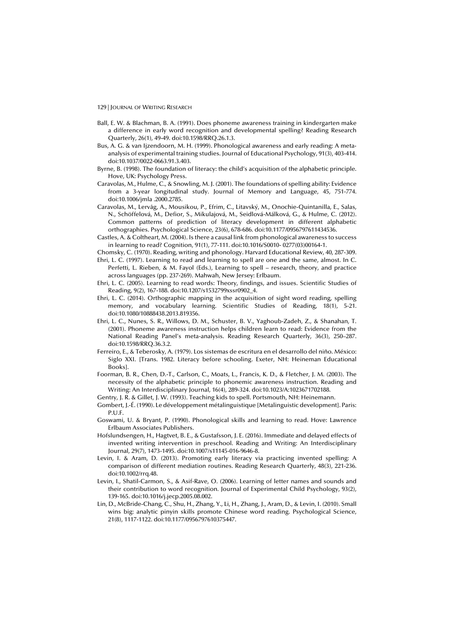- Ball, E. W. & Blachman, B. A. (1991). Does phoneme awareness training in kindergarten make a difference in early word recognition and developmental spelling? Reading Research Quarterly, 26(1), 49-49. doi:10.1598/RRQ.26.1.3.
- Bus, A. G. & van Ijzendoorn, M. H. (1999). Phonological awareness and early reading: A metaanalysis of experimental training studies. Journal of Educational Psychology, 91(3), 403-414. doi:10.1037/0022-0663.91.3.403.
- Byrne, B. (1998). The foundation of literacy: the child's acquisition of the alphabetic principle. Hove, UK: Psychology Press.
- Caravolas, M., Hulme, C., & Snowling, M. J. (2001). The foundations of spelling ability: Evidence from a 3-year longitudinal study. Journal of Memory and Language, 45, 751-774. doi:10.1006/jmla .2000.2785.
- Caravolas, M., Lervåg, A., Mousikou, P., Efrim, C., Litavský, M., Onochie-Quintanilla, E., Salas, N., Schöffelová, M., Defior, S., Mikulajová, M., Seidlová-Málková, G., & Hulme, C. (2012). Common patterns of prediction of literacy development in different alphabetic orthographies. Psychological Science, 23(6), 678-686. doi:10.1177/0956797611434536.
- Castles, A. & Coltheart, M. (2004). Is there a causal link from phonological awareness to success in learning to read? Cognition, 91(1), 77-111. doi:10.1016/S0010- 0277(03)00164-1.
- Chomsky, C. (1970). Reading, writing and phonology. Harvard Educational Review, 40, 287-309.
- Ehri, L. C. (1997). Learning to read and learning to spell are one and the same, almost. In C. Perfetti, L. Rieben, & M. Fayol (Eds.), Learning to spell – research, theory, and practice across languages (pp. 237-269). Mahwah, New Jersey: Erlbaum.
- Ehri, L. C. (2005). Learning to read words: Theory, findings, and issues. Scientific Studies of Reading, 9(2), 167-188. doi:10.1207/s1532799xssr0902\_4.
- Ehri, L. C. (2014). Orthographic mapping in the acquisition of sight word reading, spelling memory, and vocabulary learning. Scientific Studies of Reading, 18(1), 5-21. doi:10.1080/10888438.2013.819356.
- Ehri, L. C., Nunes, S. R., Willows, D. M., Schuster, B. V., Yaghoub-Zadeh, Z., & Shanahan, T. (2001). Phoneme awareness instruction helps children learn to read: Evidence from the National Reading Panel's meta-analysis. Reading Research Quarterly, 36(3), 250–287. doi:10.1598/RRQ.36.3.2.
- Ferreiro, E., & Teberosky, A. (1979). Los sistemas de escritura en el desarrollo del niño. México: Siglo XXI. [Trans. 1982. Literacy before schooling. Exeter, NH: Heineman Educational Books].
- Foorman, B. R., Chen, D.-T., Carlson, C., Moats, L., Francis, K. D., & Fletcher, J. M. (2003). The necessity of the alphabetic principle to phonemic awareness instruction. Reading and Writing: An Interdisciplinary Journal, 16(4), 289-324. doi:10.1023/A:1023671702188.
- Gentry, J. R. & Gillet, J. W. (1993). Teaching kids to spell. Portsmouth, NH: Heinemann.
- Gombert, J.-É. (1990). Le développement métalinguistique [Metalinguistic development]. Paris: P.U.F.
- Goswami, U. & Bryant, P. (1990). Phonological skills and learning to read. Hove: Lawrence Erlbaum Associates Publishers.
- Hofslundsengen, H., Hagtvet, B. E., & Gustafsson, J. E. (2016). Immediate and delayed effects of invented writing intervention in preschool. Reading and Writing: An Interdisciplinary Journal, 29(7), 1473-1495. doi:10.1007/s11145-016-9646-8.
- Levin, I. & Aram, D. (2013). Promoting early literacy via practicing invented spelling: A comparison of different mediation routines. Reading Research Quarterly, 48(3), 221-236. doi:10.1002/rrq.48.
- Levin, I., Shatil-Carmon, S., & Asif-Rave, O. (2006). Learning of letter names and sounds and their contribution to word recognition. Journal of Experimental Child Psychology, 93(2), 139-165. doi:10.1016/j.jecp.2005.08.002.
- Lin, D., McBride-Chang, C., Shu, H., Zhang, Y., Li, H., Zhang, J., Aram, D., & Levin, I. (2010). Small wins big: analytic pinyin skills promote Chinese word reading. Psychological Science, 21(8), 1117-1122. doi:10.1177/0956797610375447.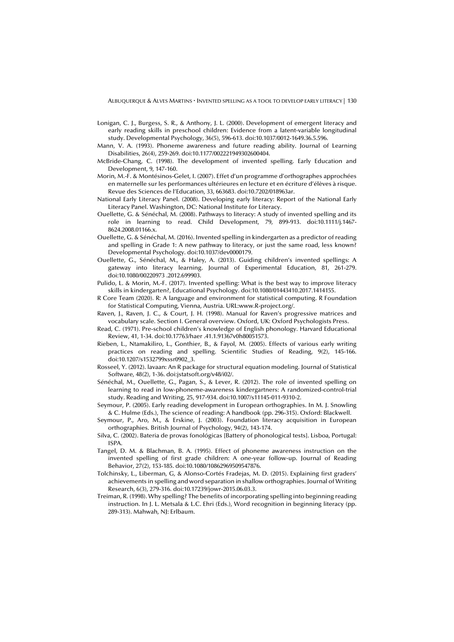- Lonigan, C. J., Burgess, S. R., & Anthony, J. L. (2000). Development of emergent literacy and early reading skills in preschool children: Evidence from a latent-variable longitudinal study. Developmental Psychology, 36(5), 596-613. doi:10.1037/0012-1649.36.5.596.
- Mann, V. A. (1993). Phoneme awareness and future reading ability. Journal of Learning Disabilities, 26(4), 259-269. doi:10.1177/002221949302600404.
- McBride-Chang, C. (1998). The development of invented spelling. Early Education and Development, 9, 147-160.
- Morin, M.-F. & Montésinos-Gelet, I. (2007). Effet d'un programme d'orthographes approchées en maternelle sur les performances ultérieures en lecture et en écriture d'élèves à risque. Revue des Sciences de l'Education, 33, 663683. doi:10.7202/018963ar.
- National Early Literacy Panel. (2008). Developing early literacy: Report of the National Early Literacy Panel. Washington, DC: National Institute for Literacy.
- Ouellette, G. & Sénéchal, M. (2008). Pathways to literacy: A study of invented spelling and its role in learning to read. Child Development, 79, 899-913. doi:10.1111/j.1467- 8624.2008.01166.x.
- Ouellette, G. & Sénéchal, M. (2016). Invented spelling in kindergarten as a predictor of reading and spelling in Grade 1: A new pathway to literacy, or just the same road, less known? Developmental Psychology. doi:10.1037/dev0000179.
- Ouellette, G., Sénéchal, M., & Haley, A. (2013). Guiding children's invented spellings: A gateway into literacy learning. Journal of Experimental Education, 81, 261-279. doi:10.1080/00220973 .2012.699903.
- Pulido, L. & Morin, M.-F. (2017). Invented spelling: What is the best way to improve literacy skills in kindergarten?, Educational Psychology. doi:10.1080/01443410.2017.1414155.
- R Core Team (2020). R: A language and environment for statistical computing. R Foundation for Statistical Computing, Vienna, Austria. URL:www.R-project.org/.
- Raven, J., Raven, J. C., & Court, J. H. (1998). Manual for Raven's progressive matrices and vocabulary scale. Section I. General overview. Oxford, UK: Oxford Psychologists Press.
- Read, C. (1971). Pre-school children's knowledge of English phonology. Harvard Educational Review, 41, 1-34. doi:10.17763/haer .41.1.91367v0h80051573.
- Rieben, L., Ntamakiliro, L., Gonthier, B., & Fayol, M. (2005). Effects of various early writing practices on reading and spelling. Scientific Studies of Reading, 9(2), 145-166. doi:10.1207/s1532799xssr0902\_3.
- Rosseel, Y. (2012). lavaan: An R package for structural equation modeling. Journal of Statistical Software, 48(2), 1-36. doi:jstatsoft.org/v48/i02/.
- Sénéchal, M., Ouellette, G., Pagan, S., & Lever, R. (2012). The role of invented spelling on learning to read in low-phoneme-awareness kindergartners: A randomized-control-trial study. Reading and Writing, 25, 917-934. doi:10.1007/s11145-011-9310-2.
- Seymour, P. (2005). Early reading development in European orthographies. In M. J. Snowling & C. Hulme (Eds.), The science of reading: A handbook (pp. 296-315). Oxford: Blackwell.
- Seymour, P., Aro, M., & Erskine, J. (2003). Foundation literacy acquisition in European orthographies. British Journal of Psychology, 94(2), 143-174.
- Silva, C. (2002). Bateria de provas fonológicas [Battery of phonological tests]. Lisboa, Portugal: ISPA.
- Tangel, D. M. & Blachman, B. A. (1995). Effect of phoneme awareness instruction on the invented spelling of first grade children: A one-year follow-up. Journal of Reading Behavior, 27(2), 153-185. doi:10.1080/10862969509547876.
- Tolchinsky, L., Liberman, G, & Alonso-Cortés Fradejas, M. D. (2015). Explaining first graders' achievements in spelling and word separation in shallow orthographies. Journal of Writing Research, 6(3), 279-316. doi:10.17239/jowr-2015.06.03.3.
- Treiman, R. (1998). Why spelling? The benefits of incorporating spelling into beginning reading instruction. In J. L. Metsala & L.C. Ehri (Eds.), Word recognition in beginning literacy (pp. 289-313). Mahwah, NJ: Erlbaum.